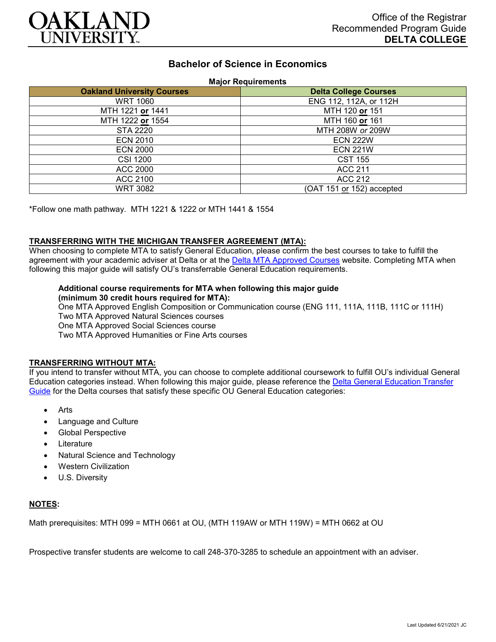

# **Bachelor of Science in Economics**

**Major Requirements**

|                                   | 1.1.4                        |
|-----------------------------------|------------------------------|
| <b>Oakland University Courses</b> | <b>Delta College Courses</b> |
| <b>WRT 1060</b>                   | ENG 112, 112A, or 112H       |
| MTH 1221 or 1441                  | MTH 120 or 151               |
| MTH 1222 or 1554                  | MTH 160 or 161               |
| STA 2220                          | MTH 208W or 209W             |
| <b>ECN 2010</b>                   | <b>ECN 222W</b>              |
| <b>ECN 2000</b>                   | <b>ECN 221W</b>              |
| <b>CSI 1200</b>                   | <b>CST 155</b>               |
| ACC 2000                          | <b>ACC 211</b>               |
| ACC 2100                          | ACC 212                      |
| <b>WRT 3082</b>                   | (OAT 151 or 152) accepted    |

\*Follow one math pathway. MTH 1221 & 1222 or MTH 1441 & 1554

#### **TRANSFERRING WITH THE MICHIGAN TRANSFER AGREEMENT (MTA):**

When choosing to complete MTA to satisfy General Education, please confirm the best courses to take to fulfill the agreement with your academic adviser at Delta or at the [Delta MTA Approved Courses](http://catalog.delta.edu/content.php?catoid=11&navoid=1451) website. Completing MTA when following this major guide will satisfy OU's transferrable General Education requirements.

#### **Additional course requirements for MTA when following this major guide (minimum 30 credit hours required for MTA):**

One MTA Approved English Composition or Communication course (ENG 111, 111A, 111B, 111C or 111H) Two MTA Approved Natural Sciences courses One MTA Approved Social Sciences course Two MTA Approved Humanities or Fine Arts courses

#### **TRANSFERRING WITHOUT MTA:**

If you intend to transfer without MTA, you can choose to complete additional coursework to fulfill OU's individual General Education categories instead. When following this major guide, please reference the [Delta General Education Transfer](https://www.oakland.edu/Assets/Oakland/program-guides/delta-college/university-general-education-requirements/Delta%20Gen%20Ed.pdf)  [Guide](https://www.oakland.edu/Assets/Oakland/program-guides/delta-college/university-general-education-requirements/Delta%20Gen%20Ed.pdf) for the Delta courses that satisfy these specific OU General Education categories:

- **Arts**
- Language and Culture
- Global Perspective
- **Literature**
- Natural Science and Technology
- Western Civilization
- U.S. Diversity

### **NOTES:**

Math prerequisites: MTH 099 = MTH 0661 at OU, (MTH 119AW or MTH 119W) = MTH 0662 at OU

Prospective transfer students are welcome to call 248-370-3285 to schedule an appointment with an adviser.